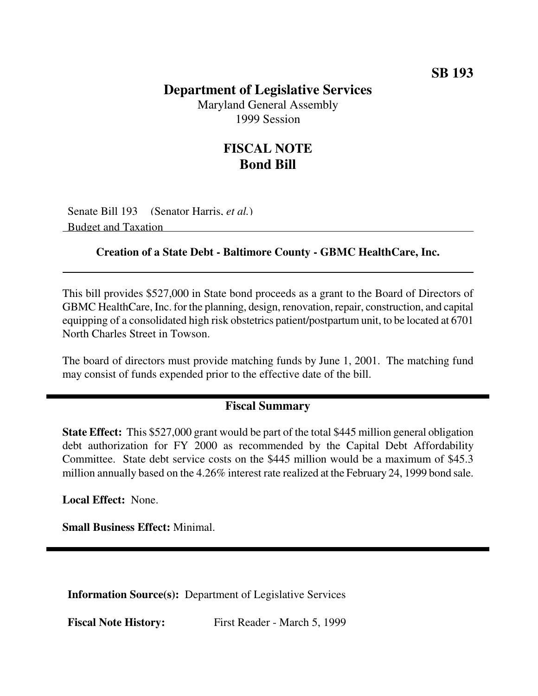## **Department of Legislative Services**

Maryland General Assembly 1999 Session

## **FISCAL NOTE Bond Bill**

Senate Bill 193 (Senator Harris, *et al.*) Budget and Taxation

## **Creation of a State Debt - Baltimore County - GBMC HealthCare, Inc.**

This bill provides \$527,000 in State bond proceeds as a grant to the Board of Directors of GBMC HealthCare, Inc. for the planning, design, renovation, repair, construction, and capital equipping of a consolidated high risk obstetrics patient/postpartum unit, to be located at 6701 North Charles Street in Towson.

The board of directors must provide matching funds by June 1, 2001. The matching fund may consist of funds expended prior to the effective date of the bill.

## **Fiscal Summary**

**State Effect:** This \$527,000 grant would be part of the total \$445 million general obligation debt authorization for FY 2000 as recommended by the Capital Debt Affordability Committee. State debt service costs on the \$445 million would be a maximum of \$45.3 million annually based on the 4.26% interest rate realized at the February 24, 1999 bond sale.

**Local Effect:** None.

**Small Business Effect:** Minimal.

**Information Source(s):** Department of Legislative Services

**Fiscal Note History:** First Reader - March 5, 1999